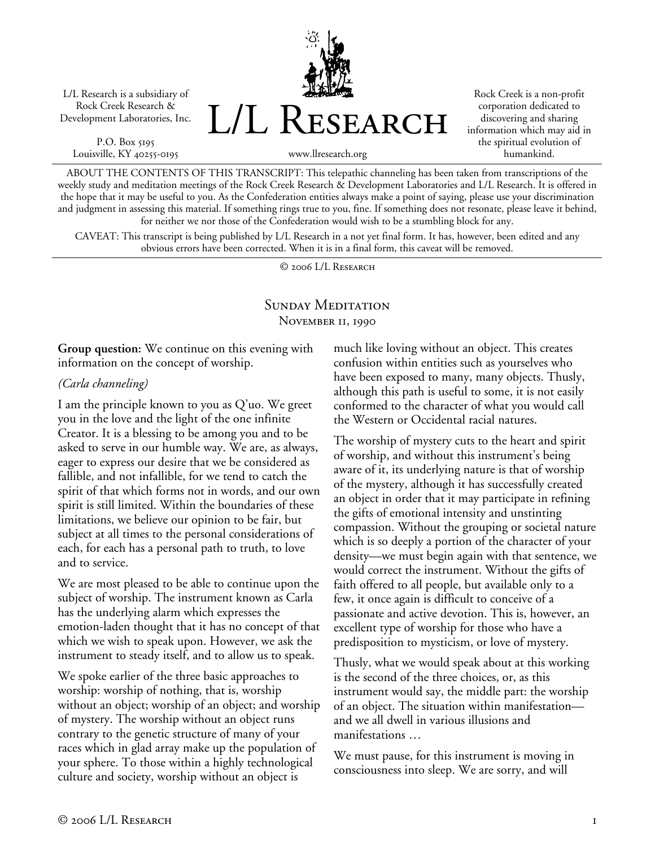L/L Research is a subsidiary of Rock Creek Research & Development Laboratories, Inc.

P.O. Box 5195 Louisville, KY 40255-0195 L/L Research

Rock Creek is a non-profit corporation dedicated to discovering and sharing information which may aid in the spiritual evolution of humankind.

www.llresearch.org

ABOUT THE CONTENTS OF THIS TRANSCRIPT: This telepathic channeling has been taken from transcriptions of the weekly study and meditation meetings of the Rock Creek Research & Development Laboratories and L/L Research. It is offered in the hope that it may be useful to you. As the Confederation entities always make a point of saying, please use your discrimination and judgment in assessing this material. If something rings true to you, fine. If something does not resonate, please leave it behind, for neither we nor those of the Confederation would wish to be a stumbling block for any.

CAVEAT: This transcript is being published by L/L Research in a not yet final form. It has, however, been edited and any obvious errors have been corrected. When it is in a final form, this caveat will be removed.

© 2006 L/L Research

# SUNDAY MEDITATION November 11, 1990

**Group question:** We continue on this evening with information on the concept of worship.

#### *(Carla channeling)*

I am the principle known to you as Q'uo. We greet you in the love and the light of the one infinite Creator. It is a blessing to be among you and to be asked to serve in our humble way. We are, as always, eager to express our desire that we be considered as fallible, and not infallible, for we tend to catch the spirit of that which forms not in words, and our own spirit is still limited. Within the boundaries of these limitations, we believe our opinion to be fair, but subject at all times to the personal considerations of each, for each has a personal path to truth, to love and to service.

We are most pleased to be able to continue upon the subject of worship. The instrument known as Carla has the underlying alarm which expresses the emotion-laden thought that it has no concept of that which we wish to speak upon. However, we ask the instrument to steady itself, and to allow us to speak.

We spoke earlier of the three basic approaches to worship: worship of nothing, that is, worship without an object; worship of an object; and worship of mystery. The worship without an object runs contrary to the genetic structure of many of your races which in glad array make up the population of your sphere. To those within a highly technological culture and society, worship without an object is

much like loving without an object. This creates confusion within entities such as yourselves who have been exposed to many, many objects. Thusly, although this path is useful to some, it is not easily conformed to the character of what you would call the Western or Occidental racial natures.

The worship of mystery cuts to the heart and spirit of worship, and without this instrument's being aware of it, its underlying nature is that of worship of the mystery, although it has successfully created an object in order that it may participate in refining the gifts of emotional intensity and unstinting compassion. Without the grouping or societal nature which is so deeply a portion of the character of your density—we must begin again with that sentence, we would correct the instrument. Without the gifts of faith offered to all people, but available only to a few, it once again is difficult to conceive of a passionate and active devotion. This is, however, an excellent type of worship for those who have a predisposition to mysticism, or love of mystery.

Thusly, what we would speak about at this working is the second of the three choices, or, as this instrument would say, the middle part: the worship of an object. The situation within manifestation and we all dwell in various illusions and manifestations …

We must pause, for this instrument is moving in consciousness into sleep. We are sorry, and will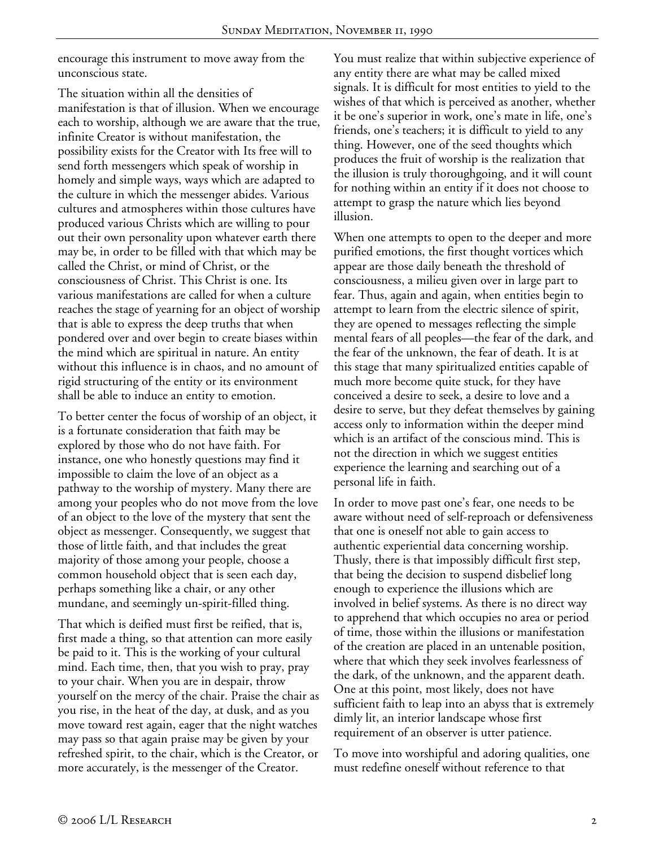encourage this instrument to move away from the unconscious state.

The situation within all the densities of manifestation is that of illusion. When we encourage each to worship, although we are aware that the true, infinite Creator is without manifestation, the possibility exists for the Creator with Its free will to send forth messengers which speak of worship in homely and simple ways, ways which are adapted to the culture in which the messenger abides. Various cultures and atmospheres within those cultures have produced various Christs which are willing to pour out their own personality upon whatever earth there may be, in order to be filled with that which may be called the Christ, or mind of Christ, or the consciousness of Christ. This Christ is one. Its various manifestations are called for when a culture reaches the stage of yearning for an object of worship that is able to express the deep truths that when pondered over and over begin to create biases within the mind which are spiritual in nature. An entity without this influence is in chaos, and no amount of rigid structuring of the entity or its environment shall be able to induce an entity to emotion.

To better center the focus of worship of an object, it is a fortunate consideration that faith may be explored by those who do not have faith. For instance, one who honestly questions may find it impossible to claim the love of an object as a pathway to the worship of mystery. Many there are among your peoples who do not move from the love of an object to the love of the mystery that sent the object as messenger. Consequently, we suggest that those of little faith, and that includes the great majority of those among your people, choose a common household object that is seen each day, perhaps something like a chair, or any other mundane, and seemingly un-spirit-filled thing.

That which is deified must first be reified, that is, first made a thing, so that attention can more easily be paid to it. This is the working of your cultural mind. Each time, then, that you wish to pray, pray to your chair. When you are in despair, throw yourself on the mercy of the chair. Praise the chair as you rise, in the heat of the day, at dusk, and as you move toward rest again, eager that the night watches may pass so that again praise may be given by your refreshed spirit, to the chair, which is the Creator, or more accurately, is the messenger of the Creator.

You must realize that within subjective experience of any entity there are what may be called mixed signals. It is difficult for most entities to yield to the wishes of that which is perceived as another, whether it be one's superior in work, one's mate in life, one's friends, one's teachers; it is difficult to yield to any thing. However, one of the seed thoughts which produces the fruit of worship is the realization that the illusion is truly thoroughgoing, and it will count for nothing within an entity if it does not choose to attempt to grasp the nature which lies beyond illusion.

When one attempts to open to the deeper and more purified emotions, the first thought vortices which appear are those daily beneath the threshold of consciousness, a milieu given over in large part to fear. Thus, again and again, when entities begin to attempt to learn from the electric silence of spirit, they are opened to messages reflecting the simple mental fears of all peoples—the fear of the dark, and the fear of the unknown, the fear of death. It is at this stage that many spiritualized entities capable of much more become quite stuck, for they have conceived a desire to seek, a desire to love and a desire to serve, but they defeat themselves by gaining access only to information within the deeper mind which is an artifact of the conscious mind. This is not the direction in which we suggest entities experience the learning and searching out of a personal life in faith.

In order to move past one's fear, one needs to be aware without need of self-reproach or defensiveness that one is oneself not able to gain access to authentic experiential data concerning worship. Thusly, there is that impossibly difficult first step, that being the decision to suspend disbelief long enough to experience the illusions which are involved in belief systems. As there is no direct way to apprehend that which occupies no area or period of time, those within the illusions or manifestation of the creation are placed in an untenable position, where that which they seek involves fearlessness of the dark, of the unknown, and the apparent death. One at this point, most likely, does not have sufficient faith to leap into an abyss that is extremely dimly lit, an interior landscape whose first requirement of an observer is utter patience.

To move into worshipful and adoring qualities, one must redefine oneself without reference to that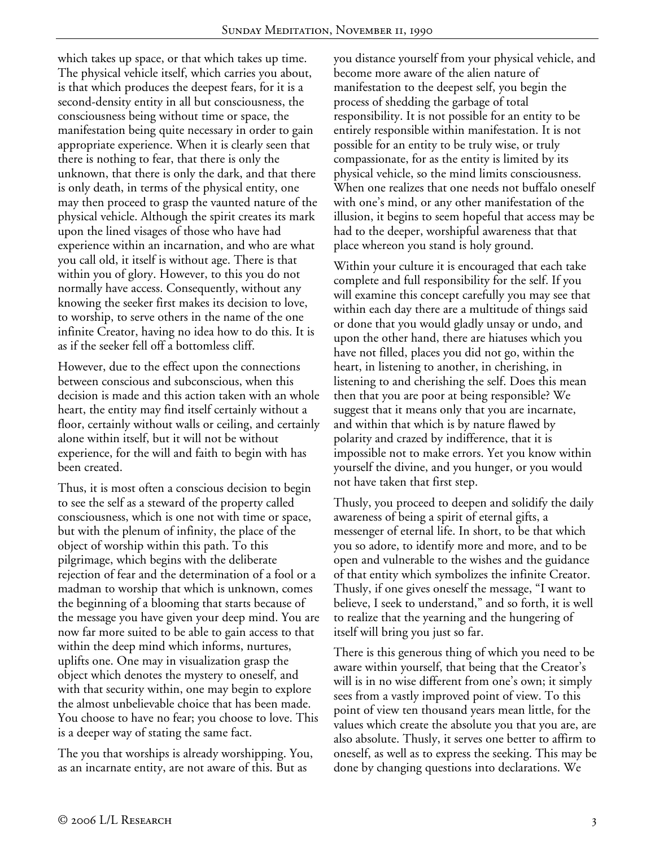which takes up space, or that which takes up time. The physical vehicle itself, which carries you about, is that which produces the deepest fears, for it is a second-density entity in all but consciousness, the consciousness being without time or space, the manifestation being quite necessary in order to gain appropriate experience. When it is clearly seen that there is nothing to fear, that there is only the unknown, that there is only the dark, and that there is only death, in terms of the physical entity, one may then proceed to grasp the vaunted nature of the physical vehicle. Although the spirit creates its mark upon the lined visages of those who have had experience within an incarnation, and who are what you call old, it itself is without age. There is that within you of glory. However, to this you do not normally have access. Consequently, without any knowing the seeker first makes its decision to love, to worship, to serve others in the name of the one infinite Creator, having no idea how to do this. It is as if the seeker fell off a bottomless cliff.

However, due to the effect upon the connections between conscious and subconscious, when this decision is made and this action taken with an whole heart, the entity may find itself certainly without a floor, certainly without walls or ceiling, and certainly alone within itself, but it will not be without experience, for the will and faith to begin with has been created.

Thus, it is most often a conscious decision to begin to see the self as a steward of the property called consciousness, which is one not with time or space, but with the plenum of infinity, the place of the object of worship within this path. To this pilgrimage, which begins with the deliberate rejection of fear and the determination of a fool or a madman to worship that which is unknown, comes the beginning of a blooming that starts because of the message you have given your deep mind. You are now far more suited to be able to gain access to that within the deep mind which informs, nurtures, uplifts one. One may in visualization grasp the object which denotes the mystery to oneself, and with that security within, one may begin to explore the almost unbelievable choice that has been made. You choose to have no fear; you choose to love. This is a deeper way of stating the same fact.

The you that worships is already worshipping. You, as an incarnate entity, are not aware of this. But as

you distance yourself from your physical vehicle, and become more aware of the alien nature of manifestation to the deepest self, you begin the process of shedding the garbage of total responsibility. It is not possible for an entity to be entirely responsible within manifestation. It is not possible for an entity to be truly wise, or truly compassionate, for as the entity is limited by its physical vehicle, so the mind limits consciousness. When one realizes that one needs not buffalo oneself with one's mind, or any other manifestation of the illusion, it begins to seem hopeful that access may be had to the deeper, worshipful awareness that that place whereon you stand is holy ground.

Within your culture it is encouraged that each take complete and full responsibility for the self. If you will examine this concept carefully you may see that within each day there are a multitude of things said or done that you would gladly unsay or undo, and upon the other hand, there are hiatuses which you have not filled, places you did not go, within the heart, in listening to another, in cherishing, in listening to and cherishing the self. Does this mean then that you are poor at being responsible? We suggest that it means only that you are incarnate, and within that which is by nature flawed by polarity and crazed by indifference, that it is impossible not to make errors. Yet you know within yourself the divine, and you hunger, or you would not have taken that first step.

Thusly, you proceed to deepen and solidify the daily awareness of being a spirit of eternal gifts, a messenger of eternal life. In short, to be that which you so adore, to identify more and more, and to be open and vulnerable to the wishes and the guidance of that entity which symbolizes the infinite Creator. Thusly, if one gives oneself the message, "I want to believe, I seek to understand," and so forth, it is well to realize that the yearning and the hungering of itself will bring you just so far.

There is this generous thing of which you need to be aware within yourself, that being that the Creator's will is in no wise different from one's own; it simply sees from a vastly improved point of view. To this point of view ten thousand years mean little, for the values which create the absolute you that you are, are also absolute. Thusly, it serves one better to affirm to oneself, as well as to express the seeking. This may be done by changing questions into declarations. We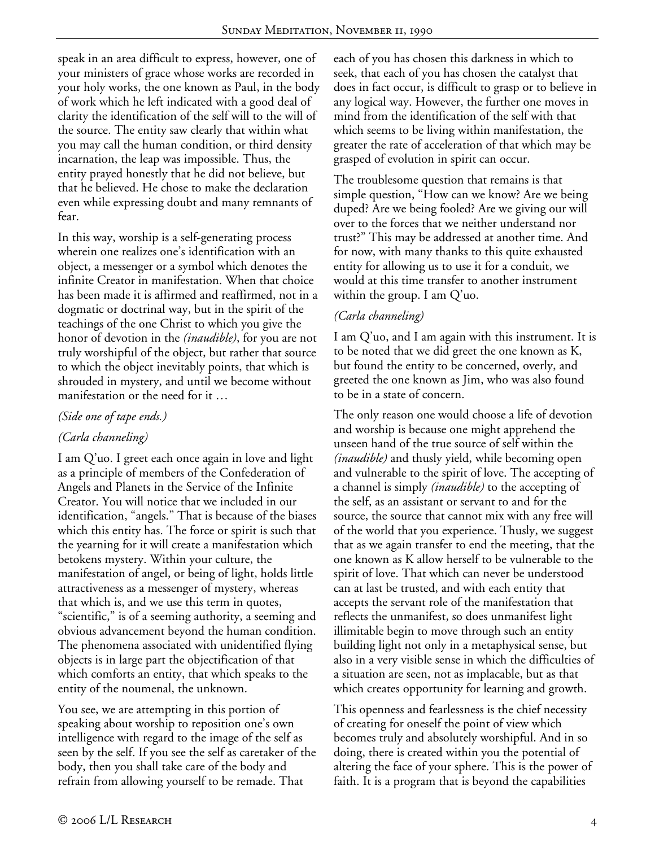speak in an area difficult to express, however, one of your ministers of grace whose works are recorded in your holy works, the one known as Paul, in the body of work which he left indicated with a good deal of clarity the identification of the self will to the will of the source. The entity saw clearly that within what you may call the human condition, or third density incarnation, the leap was impossible. Thus, the entity prayed honestly that he did not believe, but that he believed. He chose to make the declaration even while expressing doubt and many remnants of fear.

In this way, worship is a self-generating process wherein one realizes one's identification with an object, a messenger or a symbol which denotes the infinite Creator in manifestation. When that choice has been made it is affirmed and reaffirmed, not in a dogmatic or doctrinal way, but in the spirit of the teachings of the one Christ to which you give the honor of devotion in the *(inaudible)*, for you are not truly worshipful of the object, but rather that source to which the object inevitably points, that which is shrouded in mystery, and until we become without manifestation or the need for it …

### *(Side one of tape ends.)*

### *(Carla channeling)*

I am Q'uo. I greet each once again in love and light as a principle of members of the Confederation of Angels and Planets in the Service of the Infinite Creator. You will notice that we included in our identification, "angels." That is because of the biases which this entity has. The force or spirit is such that the yearning for it will create a manifestation which betokens mystery. Within your culture, the manifestation of angel, or being of light, holds little attractiveness as a messenger of mystery, whereas that which is, and we use this term in quotes, "scientific," is of a seeming authority, a seeming and obvious advancement beyond the human condition. The phenomena associated with unidentified flying objects is in large part the objectification of that which comforts an entity, that which speaks to the entity of the noumenal, the unknown.

You see, we are attempting in this portion of speaking about worship to reposition one's own intelligence with regard to the image of the self as seen by the self. If you see the self as caretaker of the body, then you shall take care of the body and refrain from allowing yourself to be remade. That

each of you has chosen this darkness in which to seek, that each of you has chosen the catalyst that does in fact occur, is difficult to grasp or to believe in any logical way. However, the further one moves in mind from the identification of the self with that which seems to be living within manifestation, the greater the rate of acceleration of that which may be grasped of evolution in spirit can occur.

The troublesome question that remains is that simple question, "How can we know? Are we being duped? Are we being fooled? Are we giving our will over to the forces that we neither understand nor trust?" This may be addressed at another time. And for now, with many thanks to this quite exhausted entity for allowing us to use it for a conduit, we would at this time transfer to another instrument within the group. I am Q'uo.

### *(Carla channeling)*

I am Q'uo, and I am again with this instrument. It is to be noted that we did greet the one known as K, but found the entity to be concerned, overly, and greeted the one known as Jim, who was also found to be in a state of concern.

The only reason one would choose a life of devotion and worship is because one might apprehend the unseen hand of the true source of self within the *(inaudible)* and thusly yield, while becoming open and vulnerable to the spirit of love. The accepting of a channel is simply *(inaudible)* to the accepting of the self, as an assistant or servant to and for the source, the source that cannot mix with any free will of the world that you experience. Thusly, we suggest that as we again transfer to end the meeting, that the one known as K allow herself to be vulnerable to the spirit of love. That which can never be understood can at last be trusted, and with each entity that accepts the servant role of the manifestation that reflects the unmanifest, so does unmanifest light illimitable begin to move through such an entity building light not only in a metaphysical sense, but also in a very visible sense in which the difficulties of a situation are seen, not as implacable, but as that which creates opportunity for learning and growth.

This openness and fearlessness is the chief necessity of creating for oneself the point of view which becomes truly and absolutely worshipful. And in so doing, there is created within you the potential of altering the face of your sphere. This is the power of faith. It is a program that is beyond the capabilities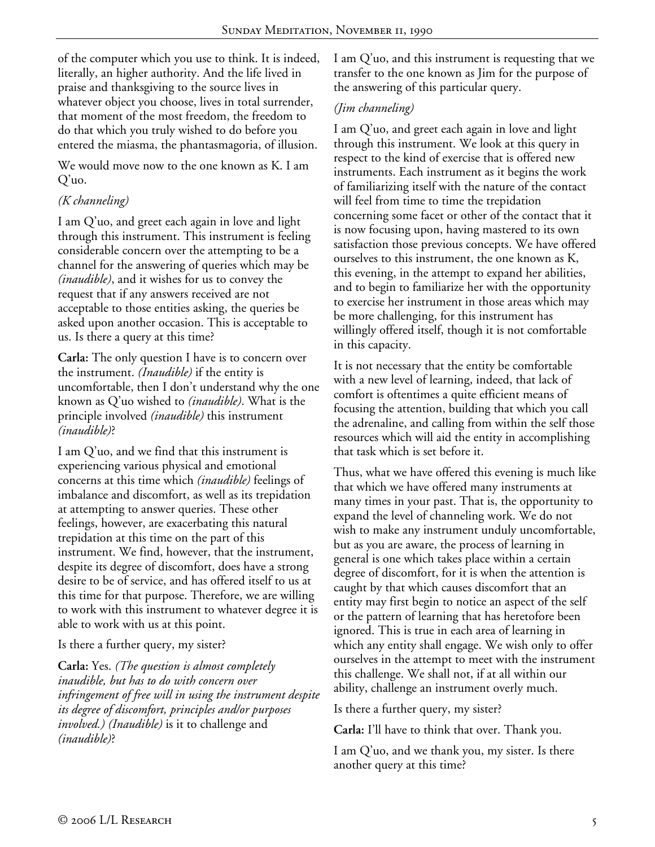of the computer which you use to think. It is indeed, literally, an higher authority. And the life lived in praise and thanksgiving to the source lives in whatever object you choose, lives in total surrender, that moment of the most freedom, the freedom to do that which you truly wished to do before you entered the miasma, the phantasmagoria, of illusion.

We would move now to the one known as K. I am Q'uo.

# *(K channeling)*

I am Q'uo, and greet each again in love and light through this instrument. This instrument is feeling considerable concern over the attempting to be a channel for the answering of queries which may be *(inaudible)*, and it wishes for us to convey the request that if any answers received are not acceptable to those entities asking, the queries be asked upon another occasion. This is acceptable to us. Is there a query at this time?

**Carla:** The only question I have is to concern over the instrument. *(Inaudible)* if the entity is uncomfortable, then I don't understand why the one known as Q'uo wished to *(inaudible)*. What is the principle involved *(inaudible)* this instrument *(inaudible)*?

I am Q'uo, and we find that this instrument is experiencing various physical and emotional concerns at this time which *(inaudible)* feelings of imbalance and discomfort, as well as its trepidation at attempting to answer queries. These other feelings, however, are exacerbating this natural trepidation at this time on the part of this instrument. We find, however, that the instrument, despite its degree of discomfort, does have a strong desire to be of service, and has offered itself to us at this time for that purpose. Therefore, we are willing to work with this instrument to whatever degree it is able to work with us at this point.

#### Is there a further query, my sister?

**Carla:** Yes. *(The question is almost completely inaudible, but has to do with concern over infringement of free will in using the instrument despite its degree of discomfort, principles and/or purposes involved.) (Inaudible)* is it to challenge and *(inaudible)*?

I am Q'uo, and this instrument is requesting that we transfer to the one known as Jim for the purpose of the answering of this particular query.

# *(Jim channeling)*

I am Q'uo, and greet each again in love and light through this instrument. We look at this query in respect to the kind of exercise that is offered new instruments. Each instrument as it begins the work of familiarizing itself with the nature of the contact will feel from time to time the trepidation concerning some facet or other of the contact that it is now focusing upon, having mastered to its own satisfaction those previous concepts. We have offered ourselves to this instrument, the one known as K, this evening, in the attempt to expand her abilities, and to begin to familiarize her with the opportunity to exercise her instrument in those areas which may be more challenging, for this instrument has willingly offered itself, though it is not comfortable in this capacity.

It is not necessary that the entity be comfortable with a new level of learning, indeed, that lack of comfort is oftentimes a quite efficient means of focusing the attention, building that which you call the adrenaline, and calling from within the self those resources which will aid the entity in accomplishing that task which is set before it.

Thus, what we have offered this evening is much like that which we have offered many instruments at many times in your past. That is, the opportunity to expand the level of channeling work. We do not wish to make any instrument unduly uncomfortable, but as you are aware, the process of learning in general is one which takes place within a certain degree of discomfort, for it is when the attention is caught by that which causes discomfort that an entity may first begin to notice an aspect of the self or the pattern of learning that has heretofore been ignored. This is true in each area of learning in which any entity shall engage. We wish only to offer ourselves in the attempt to meet with the instrument this challenge. We shall not, if at all within our ability, challenge an instrument overly much.

Is there a further query, my sister?

**Carla:** I'll have to think that over. Thank you.

I am Q'uo, and we thank you, my sister. Is there another query at this time?